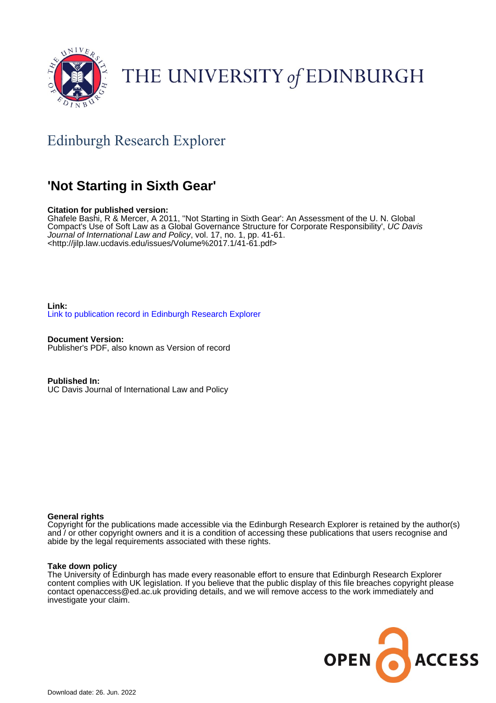

# THE UNIVERSITY of EDINBURGH

# Edinburgh Research Explorer

# **'Not Starting in Sixth Gear'**

# **Citation for published version:**

Ghafele Bashi, R & Mercer, A 2011, ''Not Starting in Sixth Gear': An Assessment of the U. N. Global Compact's Use of Soft Law as a Global Governance Structure for Corporate Responsibility', UC Davis Journal of International Law and Policy, vol. 17, no. 1, pp. 41-61. <<http://jilp.law.ucdavis.edu/issues/Volume%2017.1/41-61.pdf>>

**Link:** [Link to publication record in Edinburgh Research Explorer](https://www.research.ed.ac.uk/en/publications/70ea1d6a-7dc5-4da1-83fc-97c7ffac2fad)

**Document Version:** Publisher's PDF, also known as Version of record

**Published In:** UC Davis Journal of International Law and Policy

# **General rights**

Copyright for the publications made accessible via the Edinburgh Research Explorer is retained by the author(s) and / or other copyright owners and it is a condition of accessing these publications that users recognise and abide by the legal requirements associated with these rights.

# **Take down policy**

The University of Edinburgh has made every reasonable effort to ensure that Edinburgh Research Explorer content complies with UK legislation. If you believe that the public display of this file breaches copyright please contact openaccess@ed.ac.uk providing details, and we will remove access to the work immediately and investigate your claim.

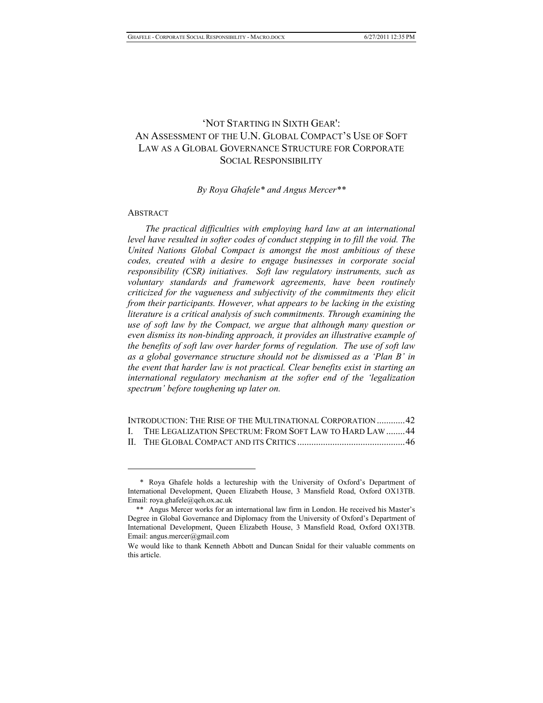# 'NOT STARTING IN SIXTH GEAR': AN ASSESSMENT OF THE U.N. GLOBAL COMPACT'S USE OF SOFT LAW AS A GLOBAL GOVERNANCE STRUCTURE FOR CORPORATE SOCIAL RESPONSIBILITY

### *By Roya Ghafele\* and Angus Mercer\*\**

#### ABSTRACT

 $\overline{a}$ 

*The practical difficulties with employing hard law at an international level have resulted in softer codes of conduct stepping in to fill the void. The United Nations Global Compact is amongst the most ambitious of these codes, created with a desire to engage businesses in corporate social responsibility (CSR) initiatives. Soft law regulatory instruments, such as voluntary standards and framework agreements, have been routinely criticized for the vagueness and subjectivity of the commitments they elicit from their participants. However, what appears to be lacking in the existing literature is a critical analysis of such commitments. Through examining the use of soft law by the Compact, we argue that although many question or even dismiss its non-binding approach, it provides an illustrative example of the benefits of soft law over harder forms of regulation. The use of soft law as a global governance structure should not be dismissed as a 'Plan B' in the event that harder law is not practical. Clear benefits exist in starting an international regulatory mechanism at the softer end of the 'legalization spectrum' before toughening up later on.* 

| INTRODUCTION: THE RISE OF THE MULTINATIONAL CORPORATION42  |  |
|------------------------------------------------------------|--|
| I. THE LEGALIZATION SPECTRUM: FROM SOFT LAW TO HARD LAW 44 |  |
|                                                            |  |

 <sup>\*</sup> Roya Ghafele holds a lectureship with the University of Oxford's Department of International Development, Queen Elizabeth House, 3 Mansfield Road, Oxford OX13TB. Email: roya.ghafele@qeh.ox.ac.uk

 <sup>\*\*</sup> Angus Mercer works for an international law firm in London. He received his Master's Degree in Global Governance and Diplomacy from the University of Oxford's Department of International Development, Queen Elizabeth House, 3 Mansfield Road, Oxford OX13TB. Email: angus.mercer@gmail.com

We would like to thank Kenneth Abbott and Duncan Snidal for their valuable comments on this article.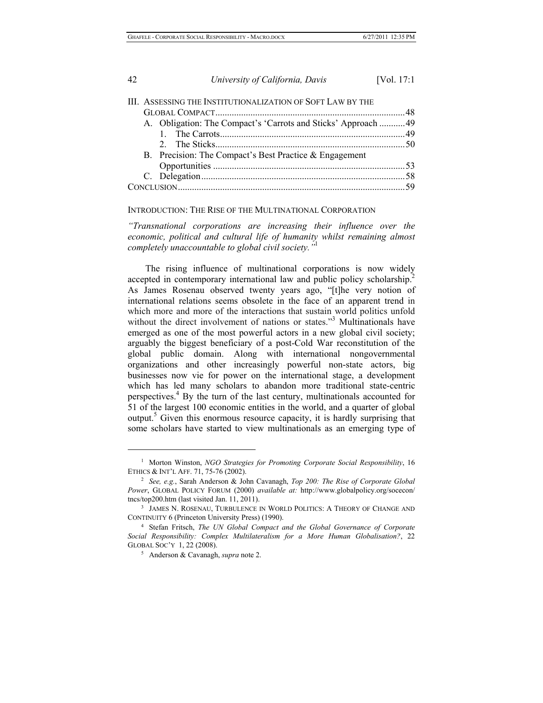|  | III. ASSESSING THE INSTITUTIONALIZATION OF SOFT LAW BY THE    |  |
|--|---------------------------------------------------------------|--|
|  |                                                               |  |
|  | A. Obligation: The Compact's 'Carrots and Sticks' Approach 49 |  |
|  |                                                               |  |
|  |                                                               |  |
|  | B. Precision: The Compact's Best Practice $\&$ Engagement     |  |
|  |                                                               |  |
|  |                                                               |  |
|  |                                                               |  |
|  |                                                               |  |

#### INTRODUCTION: THE RISE OF THE MULTINATIONAL CORPORATION

*"Transnational corporations are increasing their influence over the economic, political and cultural life of humanity whilst remaining almost completely unaccountable to global civil society."*<sup>1</sup> 

The rising influence of multinational corporations is now widely accepted in contemporary international law and public policy scholarship.<sup>2</sup> As James Rosenau observed twenty years ago, "[t]he very notion of international relations seems obsolete in the face of an apparent trend in which more and more of the interactions that sustain world politics unfold without the direct involvement of nations or states."<sup>3</sup> Multinationals have emerged as one of the most powerful actors in a new global civil society; arguably the biggest beneficiary of a post-Cold War reconstitution of the global public domain. Along with international nongovernmental organizations and other increasingly powerful non-state actors, big businesses now vie for power on the international stage, a development which has led many scholars to abandon more traditional state-centric perspectives.<sup>4</sup> By the turn of the last century, multinationals accounted for 51 of the largest 100 economic entities in the world, and a quarter of global output.<sup>5</sup> Given this enormous resource capacity, it is hardly surprising that some scholars have started to view multinationals as an emerging type of

<sup>&</sup>lt;sup>1</sup> Morton Winston, *NGO Strategies for Promoting Corporate Social Responsibility*, 16 ETHICS & INT'L AFF. 71, 75-76 (2002). 2

*See, e.g.*, Sarah Anderson & John Cavanagh, *Top 200: The Rise of Corporate Global Power*, GLOBAL POLICY FORUM (2000) *available at:* http://www.globalpolicy.org/socecon/ tncs/top200.htm (last visited Jan. 11, 2011).

<sup>&</sup>lt;sup>3</sup> JAMES N. ROSENAU, TURBULENCE IN WORLD POLITICS: A THEORY OF CHANGE AND CONTINUITY 6 (Princeton University Press) (1990).

Stefan Fritsch, *The UN Global Compact and the Global Governance of Corporate Social Responsibility: Complex Multilateralism for a More Human Globalisation?*, 22 GLOBAL SOC'Y 1, 22 (2008).

Anderson & Cavanagh, *supra* note 2.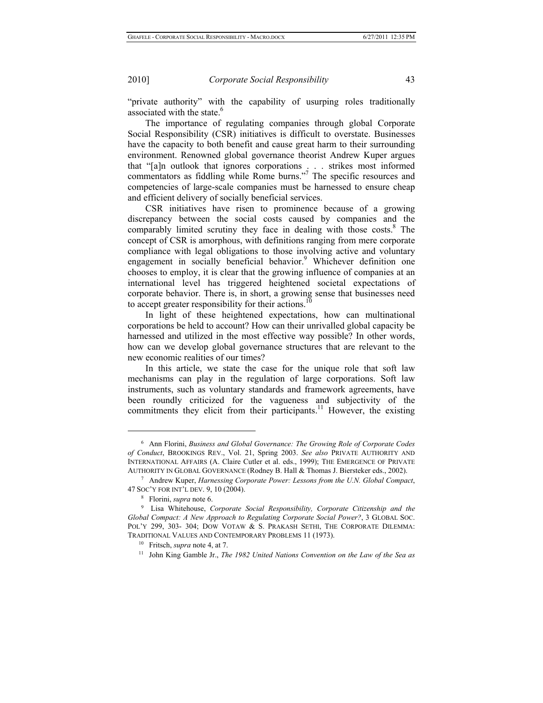"private authority" with the capability of usurping roles traditionally associated with the state.<sup>6</sup>

The importance of regulating companies through global Corporate Social Responsibility (CSR) initiatives is difficult to overstate. Businesses have the capacity to both benefit and cause great harm to their surrounding environment. Renowned global governance theorist Andrew Kuper argues that "[a]n outlook that ignores corporations . . . strikes most informed commentators as fiddling while Rome burns."7 The specific resources and competencies of large-scale companies must be harnessed to ensure cheap and efficient delivery of socially beneficial services.

CSR initiatives have risen to prominence because of a growing discrepancy between the social costs caused by companies and the comparably limited scrutiny they face in dealing with those costs.<sup>8</sup> The concept of CSR is amorphous, with definitions ranging from mere corporate compliance with legal obligations to those involving active and voluntary engagement in socially beneficial behavior.<sup>9</sup> Whichever definition one chooses to employ, it is clear that the growing influence of companies at an international level has triggered heightened societal expectations of corporate behavior. There is, in short, a growing sense that businesses need to accept greater responsibility for their actions.<sup>1</sup>

In light of these heightened expectations, how can multinational corporations be held to account? How can their unrivalled global capacity be harnessed and utilized in the most effective way possible? In other words, how can we develop global governance structures that are relevant to the new economic realities of our times?

In this article, we state the case for the unique role that soft law mechanisms can play in the regulation of large corporations. Soft law instruments, such as voluntary standards and framework agreements, have been roundly criticized for the vagueness and subjectivity of the commitments they elicit from their participants.<sup>11</sup> However, the existing

<sup>6</sup> Ann Florini, *Business and Global Governance: The Growing Role of Corporate Codes of Conduct*, BROOKINGS REV., Vol. 21, Spring 2003. *See also* PRIVATE AUTHORITY AND INTERNATIONAL AFFAIRS (A. Claire Cutler et al. eds., 1999); THE EMERGENCE OF PRIVATE AUTHORITY IN GLOBAL GOVERNANCE (Rodney B. Hall & Thomas J. Biersteker eds., 2002). 7

Andrew Kuper, *Harnessing Corporate Power: Lessons from the U.N. Global Compact*, <sup>47</sup> SOC'Y FOR INT'L DEV. 9, 10 (2004). 8

<sup>&</sup>lt;sup>8</sup> Florini, *supra* note 6.

Lisa Whitehouse, *Corporate Social Responsibility, Corporate Citizenship and the Global Compact: A New Approach to Regulating Corporate Social Power?*, 3 GLOBAL SOC. POL'Y 299, 303- 304; DOW VOTAW & S. PRAKASH SETHI, THE CORPORATE DILEMMA: TRADITIONAL VALUES AND CONTEMPORARY PROBLEMS 11 (1973).<br><sup>10</sup> Fritsch, *supra* note 4, at 7.<br><sup>11</sup> John King Gamble Jr., *The 1982 United Nations Convention on the Law of the Sea as*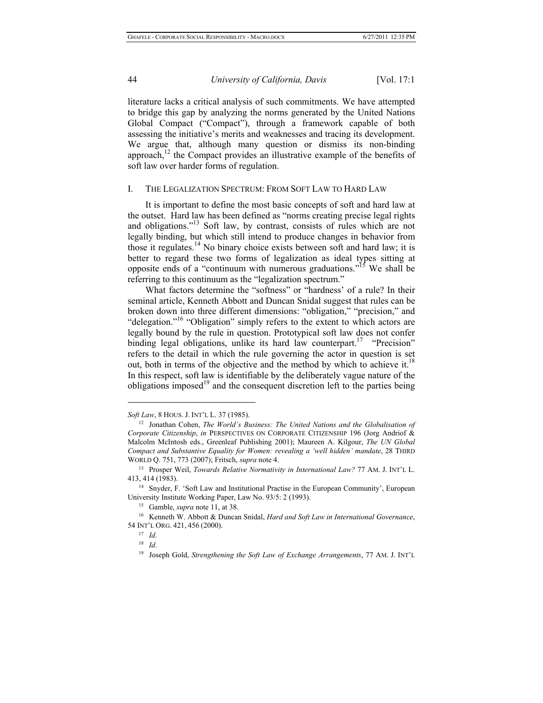literature lacks a critical analysis of such commitments. We have attempted to bridge this gap by analyzing the norms generated by the United Nations Global Compact ("Compact"), through a framework capable of both assessing the initiative's merits and weaknesses and tracing its development. We argue that, although many question or dismiss its non-binding approach, $12$  the Compact provides an illustrative example of the benefits of soft law over harder forms of regulation.

#### I. THE LEGALIZATION SPECTRUM: FROM SOFT LAW TO HARD LAW

It is important to define the most basic concepts of soft and hard law at the outset. Hard law has been defined as "norms creating precise legal rights and obligations."<sup>13</sup> Soft law, by contrast, consists of rules which are not legally binding, but which still intend to produce changes in behavior from those it regulates.<sup>14</sup> No binary choice exists between soft and hard law; it is better to regard these two forms of legalization as ideal types sitting at opposite ends of a "continuum with numerous graduations."15 We shall be referring to this continuum as the "legalization spectrum."

What factors determine the "softness" or "hardness' of a rule? In their seminal article, Kenneth Abbott and Duncan Snidal suggest that rules can be broken down into three different dimensions: "obligation," "precision," and "delegation."<sup>16</sup> "Obligation" simply refers to the extent to which actors are legally bound by the rule in question. Prototypical soft law does not confer binding legal obligations, unlike its hard law counterpart.<sup>17</sup> "Precision" refers to the detail in which the rule governing the actor in question is set out, both in terms of the objective and the method by which to achieve it.<sup>18</sup> In this respect, soft law is identifiable by the deliberately vague nature of the obligations imposed<sup>19</sup> and the consequent discretion left to the parties being

*Soft Law*, 8 HOUS. J. INT'L L. 37 (1985). 12 Jonathan Cohen, *The World's Business: The United Nations and the Globalisation of Corporate Citizenship*, *in* PERSPECTIVES ON CORPORATE CITIZENSHIP 196 (Jorg Andriof & Malcolm McIntosh eds., Greenleaf Publishing 2001); Maureen A. Kilgour, *The UN Global Compact and Substantive Equality for Women: revealing a 'well hidden' mandate*, 28 THIRD WORLD Q. 751, 773 (2007); Fritsch, *supra* note 4. 13 Prosper Weil, *Towards Relative Normativity in International Law?* 77 AM. J. INT'L L.

<sup>413, 414 (1983).&</sup>lt;br><sup>14</sup> Snyder, F. 'Soft Law and Institutional Practise in the European Community', European

University Institute Working Paper, Law No. 93/5: 2 (1993).<br><sup>15</sup> Gamble, *supra* note 11, at 38.<br><sup>16</sup> Kenneth W. Abbott & Duncan Snidal, *Hard and Soft Law in International Governance*,

<sup>54</sup> INT'L ORG. 421, <sup>456</sup> (2000). 17 *Id*. 18 *Id*. 19 Joseph Gold, *Strengthening the Soft Law of Exchange Arrangements*, 77 AM. J. INT'L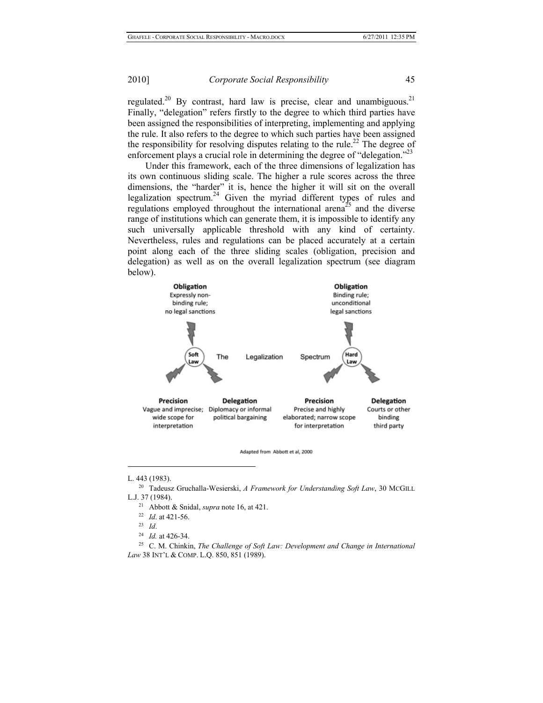regulated.<sup>20</sup> By contrast, hard law is precise, clear and unambiguous.<sup>21</sup> Finally, "delegation" refers firstly to the degree to which third parties have been assigned the responsibilities of interpreting, implementing and applying the rule. It also refers to the degree to which such parties have been assigned the responsibility for resolving disputes relating to the rule.<sup>22</sup> The degree of enforcement plays a crucial role in determining the degree of "delegation."<sup>23</sup>

Under this framework, each of the three dimensions of legalization has its own continuous sliding scale. The higher a rule scores across the three dimensions, the "harder" it is, hence the higher it will sit on the overall legalization spectrum.<sup>24</sup> Given the myriad different types of rules and regulations employed throughout the international arena<sup>25</sup> and the diverse range of institutions which can generate them, it is impossible to identify any such universally applicable threshold with any kind of certainty. Nevertheless, rules and regulations can be placed accurately at a certain point along each of the three sliding scales (obligation, precision and delegation) as well as on the overall legalization spectrum (see diagram below).





 $\overline{\phantom{a}}$ 

L. 443 (1983). 20 Tadeusz Gruchalla-Wesierski, *A Framework for Understanding Soft Law*, 30 MCGILL 1. 27 1984).<br>
<sup>21</sup> Abbott & Snidal, *supra* note 16, at 421.<br>
<sup>22</sup> *Id.* at 421-56.<br>
<sup>23</sup> *Id.* <sup>24</sup> *Id.* at 426-34.<br>
<sup>25</sup> C. M. Chinkin, *The Challenge of Soft Law: Development and Change in International* 

- 
- 
- 
- 
- 

*Law* 38 INT'L & COMP. L.Q. 850, 851 (1989).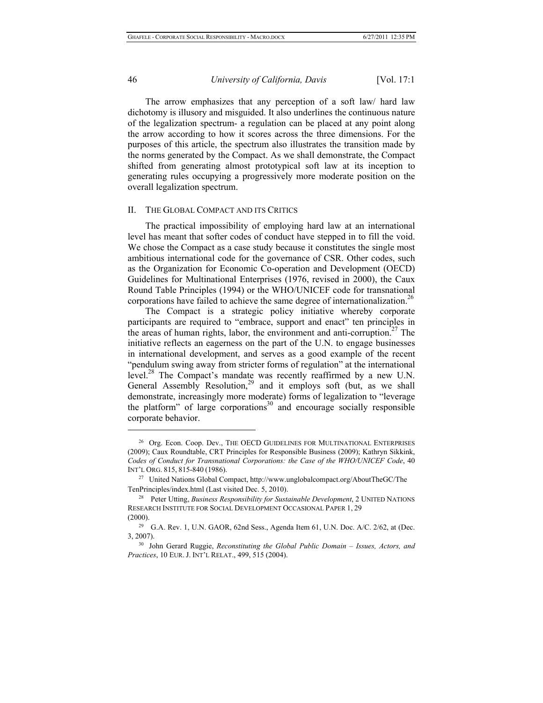$\overline{\phantom{a}}$ 

#### 46 *University of California, Davis* [Vol. 17:1

The arrow emphasizes that any perception of a soft law/ hard law dichotomy is illusory and misguided. It also underlines the continuous nature of the legalization spectrum- a regulation can be placed at any point along the arrow according to how it scores across the three dimensions. For the purposes of this article, the spectrum also illustrates the transition made by the norms generated by the Compact. As we shall demonstrate, the Compact shifted from generating almost prototypical soft law at its inception to generating rules occupying a progressively more moderate position on the overall legalization spectrum.

#### II. THE GLOBAL COMPACT AND ITS CRITICS

The practical impossibility of employing hard law at an international level has meant that softer codes of conduct have stepped in to fill the void. We chose the Compact as a case study because it constitutes the single most ambitious international code for the governance of CSR. Other codes, such as the Organization for Economic Co-operation and Development (OECD) Guidelines for Multinational Enterprises (1976, revised in 2000), the Caux Round Table Principles (1994) or the WHO/UNICEF code for transnational corporations have failed to achieve the same degree of internationalization.<sup>26</sup>

The Compact is a strategic policy initiative whereby corporate participants are required to "embrace, support and enact" ten principles in the areas of human rights, labor, the environment and anti-corruption.<sup>27</sup> The initiative reflects an eagerness on the part of the U.N. to engage businesses in international development, and serves as a good example of the recent "pendulum swing away from stricter forms of regulation" at the international level.<sup>28</sup> The Compact's mandate was recently reaffirmed by a new U.N. General Assembly Resolution, $2^9$  and it employs soft (but, as we shall demonstrate, increasingly more moderate) forms of legalization to "leverage the platform" of large corporations<sup>30</sup> and encourage socially responsible corporate behavior.

<sup>&</sup>lt;sup>26</sup> Org. Econ. Coop. Dev., THE OECD GUIDELINES FOR MULTINATIONAL ENTERPRISES (2009); Caux Roundtable, CRT Principles for Responsible Business (2009); Kathryn Sikkink, *Codes of Conduct for Transnational Corporations: the Case of the WHO/UNICEF Code*, 40 INT'L ORG. 815, 815-840 (1986).

<sup>27</sup> United Nations Global Compact, http://www.unglobalcompact.org/AboutTheGC/The TenPrinciples/index.html (Last visited Dec. 5, 2010).<br><sup>28</sup> Peter Utting, *Business Responsibility for Sustainable Development*, 2 UNITED NATIONS

RESEARCH INSTITUTE FOR SOCIAL DEVELOPMENT OCCASIONAL PAPER 1, 29

<sup>(2000). 29</sup> G.A. Rev. 1, U.N. GAOR, 62nd Sess., Agenda Item 61, U.N. Doc. A/C. 2/62, at (Dec. 3, 2007). 30 John Gerard Ruggie, *Reconstituting the Global Public Domain – Issues, Actors, and* 

*Practices*, 10 EUR. J. INT'L RELAT., 499, 515 (2004).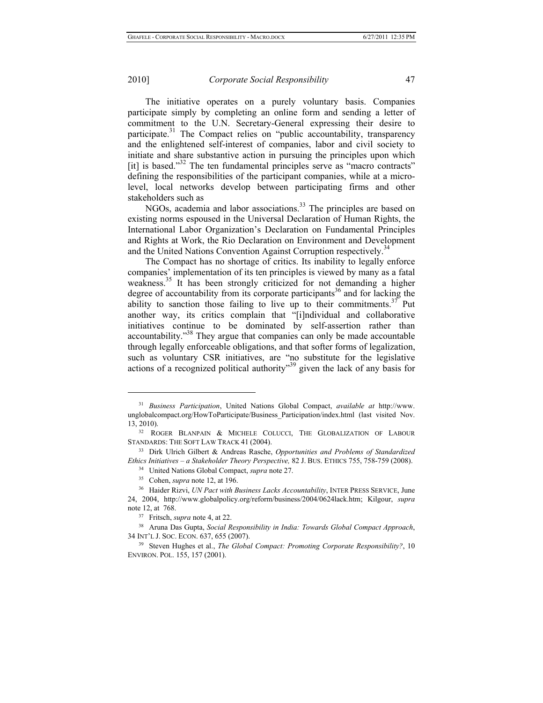$\overline{\phantom{a}}$ 

#### 2010] *Corporate Social Responsibility* 47

The initiative operates on a purely voluntary basis. Companies participate simply by completing an online form and sending a letter of commitment to the U.N. Secretary-General expressing their desire to participate.<sup>31</sup> The Compact relies on "public accountability, transparency and the enlightened self-interest of companies, labor and civil society to initiate and share substantive action in pursuing the principles upon which [it] is based. $132$  The ten fundamental principles serve as "macro contracts" defining the responsibilities of the participant companies, while at a microlevel, local networks develop between participating firms and other stakeholders such as

NGOs, academia and labor associations.<sup>33</sup> The principles are based on existing norms espoused in the Universal Declaration of Human Rights, the International Labor Organization's Declaration on Fundamental Principles and Rights at Work, the Rio Declaration on Environment and Development and the United Nations Convention Against Corruption respectively.<sup>3</sup>

The Compact has no shortage of critics. Its inability to legally enforce companies' implementation of its ten principles is viewed by many as a fatal weakness.<sup>35</sup> It has been strongly criticized for not demanding a higher degree of accountability from its corporate participants<sup>36</sup> and for lacking the ability to sanction those failing to live up to their commitments.<sup>37</sup> Put another way, its critics complain that "[i]ndividual and collaborative initiatives continue to be dominated by self-assertion rather than accountability."38 They argue that companies can only be made accountable through legally enforceable obligations, and that softer forms of legalization, such as voluntary CSR initiatives, are "no substitute for the legislative actions of a recognized political authority<sup>339</sup> given the lack of any basis for

<sup>31</sup> *Business Participation*, United Nations Global Compact, *available at* http://www. unglobalcompact.org/HowToParticipate/Business\_Participation/index.html (last visited Nov. 13, 2010).<br><sup>32</sup> ROGER BLANPAIN & MICHELE COLUCCI, THE GLOBALIZATION OF LABOUR

STANDARDS: THE SOFT LAW TRACK 41 (2004). 33 Dirk Ulrich Gilbert & Andreas Rasche, *Opportunities and Problems of Standardized* 

Ethics Initiatives – a Stakeholder Theory Perspective, 82 J. BUS. ETHICS 755, 758-759 (2008).<br><sup>34</sup> United Nations Global Compact, *supra* note 27.<br><sup>35</sup> Cohen, *supra* note 12, at 196.<br><sup>36</sup> Haider Rizvi. *UN Pact with Busi* 

<sup>24, 2004,</sup> http://www.globalpolicy.org/reform/business/2004/0624lack.htm; Kilgour, *supra*  note 12, at 768.<br><sup>37</sup> Fritsch, *supra* note 4, at 22.<br><sup>38</sup> Aruna Das Gupta, *Social Responsibility in India: Towards Global Compact Approach*,

<sup>34</sup> INT'L J. SOC. ECON. 637, 655 (2007). 39 Steven Hughes et al., *The Global Compact: Promoting Corporate Responsibility?*, 10

ENVIRON. POL. 155, 157 (2001).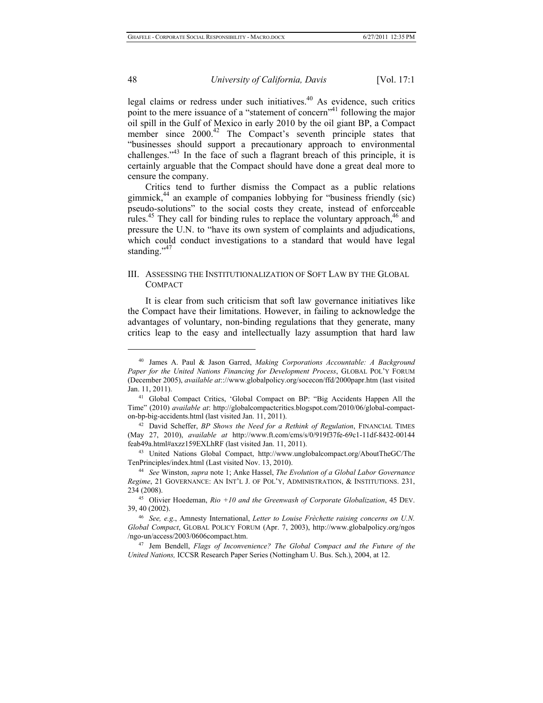legal claims or redress under such initiatives.<sup>40</sup> As evidence, such critics point to the mere issuance of a "statement of concern"<sup>41</sup> following the major oil spill in the Gulf of Mexico in early 2010 by the oil giant BP, a Compact member since 2000.<sup>42</sup> The Compact's seventh principle states that "businesses should support a precautionary approach to environmental challenges."43 In the face of such a flagrant breach of this principle, it is certainly arguable that the Compact should have done a great deal more to censure the company.

Critics tend to further dismiss the Compact as a public relations gimmick, $44$  an example of companies lobbying for "business friendly (sic) pseudo-solutions" to the social costs they create, instead of enforceable rules. $45$  They call for binding rules to replace the voluntary approach, $46$  and pressure the U.N. to "have its own system of complaints and adjudications, which could conduct investigations to a standard that would have legal standing." $47$ 

## III. ASSESSING THE INSTITUTIONALIZATION OF SOFT LAW BY THE GLOBAL COMPACT

It is clear from such criticism that soft law governance initiatives like the Compact have their limitations. However, in failing to acknowledge the advantages of voluntary, non-binding regulations that they generate, many critics leap to the easy and intellectually lazy assumption that hard law

<sup>40</sup> James A. Paul & Jason Garred, *Making Corporations Accountable: A Background Paper for the United Nations Financing for Development Process*, GLOBAL POL'Y FORUM (December 2005), *available at*:://www.globalpolicy.org/socecon/ffd/2000papr.htm (last visited Jan. 11, 2011). 41 Global Compact Critics, 'Global Compact on BP: "Big Accidents Happen All the

Time" (2010) *available at*: http://globalcompactcritics.blogspot.com/2010/06/global-compacton-bp-big-accidents.html (last visited Jan. 11, 2011). 42 David Scheffer, *BP Shows the Need for a Rethink of Regulation*, FINANCIAL TIMES

<sup>(</sup>May 27, 2010), *available at* http://www.ft.com/cms/s/0/919f37fe-69c1-11df-8432-00144

feab49a.html#axzz159EXLhRF (last visited Jan. 11, 2011). 43 United Nations Global Compact, http://www.unglobalcompact.org/AboutTheGC/The TenPrinciples/index.html (Last visited Nov. 13, 2010). 44 *See* Winston, *supra* note 1; Anke Hassel, *The Evolution of a Global Labor Governance* 

*Regime*, 21 GOVERNANCE: AN INT'L J. OF POL'Y, ADMINISTRATION, & INSTITUTIONS. 231, 234 (2008). 45 Olivier Hoedeman, *Rio +10 and the Greenwash of Corporate Globalization*, 45 DEV.

<sup>39, 40 (2002). 46</sup> *See, e.g*., Amnesty International, *Letter to Louise Frèchette raising concerns on U.N.* 

*Global Compact*, GLOBAL POLICY FORUM (Apr. 7, 2003), http://www.globalpolicy.org/ngos /ngo-un/access/2003/0606compact.htm. 47 Jem Bendell, *Flags of Inconvenience? The Global Compact and the Future of the* 

*United Nations,* ICCSR Research Paper Series (Nottingham U. Bus. Sch.), 2004, at 12.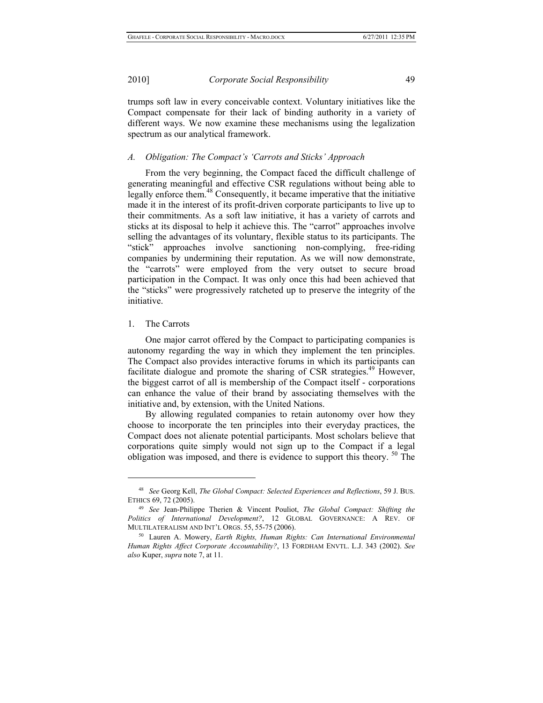trumps soft law in every conceivable context. Voluntary initiatives like the Compact compensate for their lack of binding authority in a variety of different ways. We now examine these mechanisms using the legalization spectrum as our analytical framework.

#### *A. Obligation: The Compact's 'Carrots and Sticks' Approach*

From the very beginning, the Compact faced the difficult challenge of generating meaningful and effective CSR regulations without being able to legally enforce them.<sup>48</sup> Consequently, it became imperative that the initiative made it in the interest of its profit-driven corporate participants to live up to their commitments. As a soft law initiative, it has a variety of carrots and sticks at its disposal to help it achieve this. The "carrot" approaches involve selling the advantages of its voluntary, flexible status to its participants. The "stick" approaches involve sanctioning non-complying, free-riding companies by undermining their reputation. As we will now demonstrate, the "carrots" were employed from the very outset to secure broad participation in the Compact. It was only once this had been achieved that the "sticks" were progressively ratcheted up to preserve the integrity of the initiative.

#### 1. The Carrots

 $\overline{\phantom{a}}$ 

One major carrot offered by the Compact to participating companies is autonomy regarding the way in which they implement the ten principles. The Compact also provides interactive forums in which its participants can facilitate dialogue and promote the sharing of CSR strategies.<sup>49</sup> However, the biggest carrot of all is membership of the Compact itself - corporations can enhance the value of their brand by associating themselves with the initiative and, by extension, with the United Nations.

By allowing regulated companies to retain autonomy over how they choose to incorporate the ten principles into their everyday practices, the Compact does not alienate potential participants. Most scholars believe that corporations quite simply would not sign up to the Compact if a legal obligation was imposed, and there is evidence to support this theory. <sup>50</sup> The

<sup>48</sup> *See* Georg Kell, *The Global Compact: Selected Experiences and Reflections*, 59 J. BUS. ETHICS 69, 72 (2005). 49 *See* Jean-Philippe Therien & Vincent Pouliot, *The Global Compact: Shifting the* 

*Politics of International Development?*, 12 GLOBAL GOVERNANCE: A REV. OF MULTILATERALISM AND INT'L ORGS. 55, 55-75 (2006). 50 Lauren A. Mowery, *Earth Rights, Human Rights: Can International Environmental* 

*Human Rights Affect Corporate Accountability?*, 13 FORDHAM ENVTL. L.J. 343 (2002). *See also* Kuper, *supra* note 7, at 11.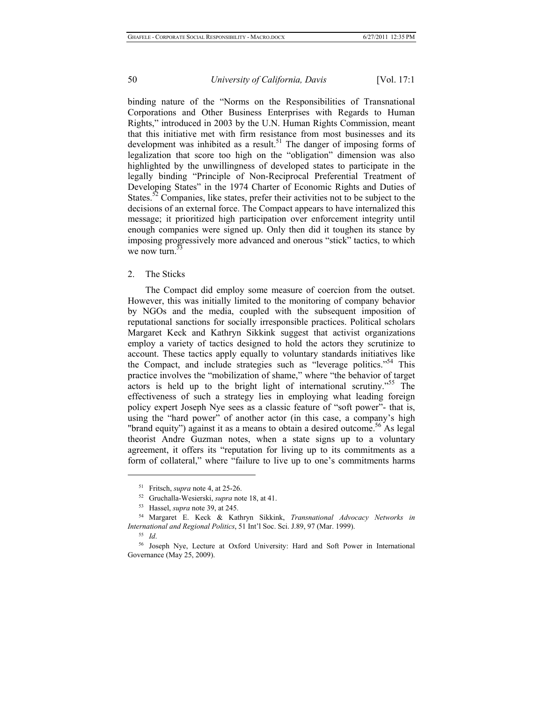binding nature of the "Norms on the Responsibilities of Transnational Corporations and Other Business Enterprises with Regards to Human Rights," introduced in 2003 by the U.N. Human Rights Commission, meant that this initiative met with firm resistance from most businesses and its development was inhibited as a result.<sup>51</sup> The danger of imposing forms of legalization that score too high on the "obligation" dimension was also highlighted by the unwillingness of developed states to participate in the legally binding "Principle of Non-Reciprocal Preferential Treatment of Developing States" in the 1974 Charter of Economic Rights and Duties of States.<sup>52</sup> Companies, like states, prefer their activities not to be subject to the decisions of an external force. The Compact appears to have internalized this message; it prioritized high participation over enforcement integrity until enough companies were signed up. Only then did it toughen its stance by imposing progressively more advanced and onerous "stick" tactics, to which we now turn.<sup>5</sup>

#### 2. The Sticks

The Compact did employ some measure of coercion from the outset. However, this was initially limited to the monitoring of company behavior by NGOs and the media, coupled with the subsequent imposition of reputational sanctions for socially irresponsible practices. Political scholars Margaret Keck and Kathryn Sikkink suggest that activist organizations employ a variety of tactics designed to hold the actors they scrutinize to account. These tactics apply equally to voluntary standards initiatives like the Compact, and include strategies such as "leverage politics."54 This practice involves the "mobilization of shame," where "the behavior of target actors is held up to the bright light of international scrutiny."55 The effectiveness of such a strategy lies in employing what leading foreign policy expert Joseph Nye sees as a classic feature of "soft power"- that is, using the "hard power" of another actor (in this case, a company's high "brand equity") against it as a means to obtain a desired outcome.<sup>56</sup> As legal theorist Andre Guzman notes, when a state signs up to a voluntary agreement, it offers its "reputation for living up to its commitments as a form of collateral," where "failure to live up to one's commitments harms

<sup>51</sup> Fritsch, *supra* note 4, at 25-26. 52 Gruchalla-Wesierski, *supra* note 18, at 41. 53 Hassel, *supra* note 39, at 245. 54 Margaret E. Keck & Kathryn Sikkink, *Transnational Advocacy Networks in International and Regional Politics*, 51 Int'l Soc. Sci. J.89, 97 (Mar. 1999). 55 *Id*. 56 Joseph Nye, Lecture at Oxford University: Hard and Soft Power in International

Governance (May 25, 2009).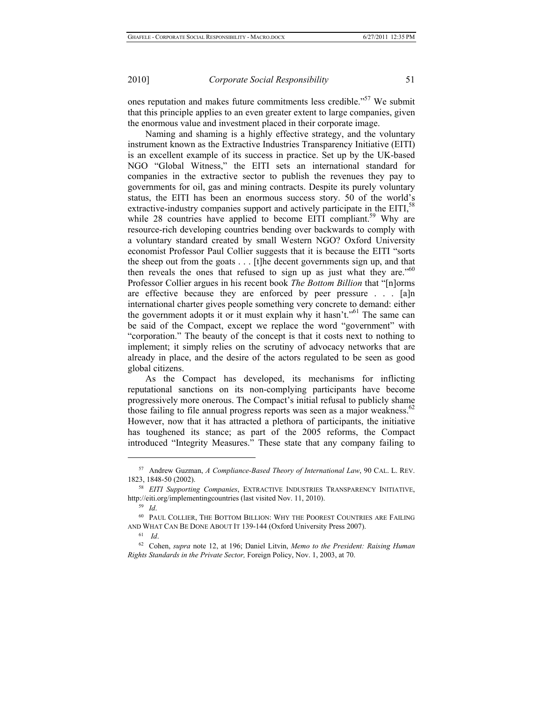ones reputation and makes future commitments less credible."57 We submit that this principle applies to an even greater extent to large companies, given the enormous value and investment placed in their corporate image.

Naming and shaming is a highly effective strategy, and the voluntary instrument known as the Extractive Industries Transparency Initiative (EITI) is an excellent example of its success in practice. Set up by the UK-based NGO "Global Witness," the EITI sets an international standard for companies in the extractive sector to publish the revenues they pay to governments for oil, gas and mining contracts. Despite its purely voluntary status, the EITI has been an enormous success story. 50 of the world's extractive-industry companies support and actively participate in the EITI,<sup>58</sup> while 28 countries have applied to become EITI compliant.<sup>59</sup> Why are resource-rich developing countries bending over backwards to comply with a voluntary standard created by small Western NGO? Oxford University economist Professor Paul Collier suggests that it is because the EITI "sorts the sheep out from the goats . . . [t]he decent governments sign up, and that then reveals the ones that refused to sign up as just what they are." $60$ Professor Collier argues in his recent book *The Bottom Billion* that "[n]orms are effective because they are enforced by peer pressure . . . [a]n international charter gives people something very concrete to demand: either the government adopts it or it must explain why it hasn't."<sup>61</sup> The same can be said of the Compact, except we replace the word "government" with "corporation." The beauty of the concept is that it costs next to nothing to implement; it simply relies on the scrutiny of advocacy networks that are already in place, and the desire of the actors regulated to be seen as good global citizens.

As the Compact has developed, its mechanisms for inflicting reputational sanctions on its non-complying participants have become progressively more onerous. The Compact's initial refusal to publicly shame those failing to file annual progress reports was seen as a major weakness.<sup>62</sup> However, now that it has attracted a plethora of participants, the initiative has toughened its stance; as part of the 2005 reforms, the Compact introduced "Integrity Measures." These state that any company failing to

<sup>57</sup> Andrew Guzman, *A Compliance-Based Theory of International Law*, 90 CAL. L. REV. 1823, 1848-50 (2002). 58 *EITI Supporting Companies*, EXTRACTIVE INDUSTRIES TRANSPARENCY INITIATIVE,

http://eiti.org/implementingcountries (last visited Nov. 11, 2010). 59 *Id*. 60 PAUL COLLIER, THE BOTTOM BILLION: WHY THE POOREST COUNTRIES ARE FAILING

AND WHAT CAN BE DONE ABOUT IT 139-144 (Oxford University Press 2007). 61 *Id*. 62 Cohen, *supra* note 12, at 196; Daniel Litvin, *Memo to the President: Raising Human* 

*Rights Standards in the Private Sector,* Foreign Policy, Nov. 1, 2003, at 70.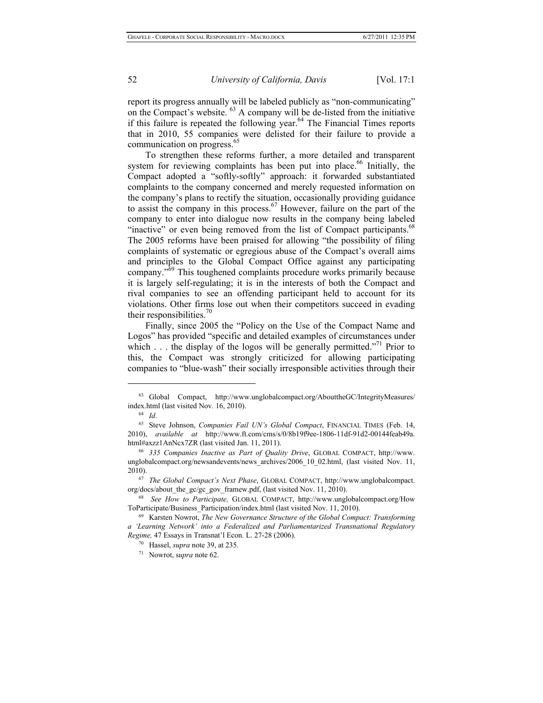report its progress annually will be labeled publicly as "non-communicating" on the Compact's website. 63 A company will be de-listed from the initiative if this failure is repeated the following year.<sup>64</sup> The Financial Times reports that in 2010, 55 companies were delisted for their failure to provide a communication on progress.<sup>65</sup>

To strengthen these reforms further, a more detailed and transparent system for reviewing complaints has been put into place.<sup>66</sup> Initially, the Compact adopted a "softly-softly" approach: it forwarded substantiated complaints to the company concerned and merely requested information on the company's plans to rectify the situation, occasionally providing guidance to assist the company in this process.<sup>67</sup> However, failure on the part of the company to enter into dialogue now results in the company being labeled "inactive" or even being removed from the list of Compact participants.<sup>68</sup> The 2005 reforms have been praised for allowing "the possibility of filing complaints of systematic or egregious abuse of the Compact's overall aims and principles to the Global Compact Office against any participating company."69 This toughened complaints procedure works primarily because it is largely self-regulating; it is in the interests of both the Compact and rival companies to see an offending participant held to account for its violations. Other firms lose out when their competitors succeed in evading their responsibilities. $\frac{70}{6}$ 

Finally, since 2005 the "Policy on the Use of the Compact Name and Logos" has provided "specific and detailed examples of circumstances under which  $\dots$  the display of the logos will be generally permitted."<sup>71</sup> Prior to this, the Compact was strongly criticized for allowing participating companies to "blue-wash" their socially irresponsible activities through their

 $^{63}$  Global Compact, http://www.unglobalcompact.org/AbouttheGC/IntegrityMeasures/

index.html (last visited Nov. 16, 2010).<br><sup>64</sup> *Id.* 65 Steve Johnson, *Companies Fail UN's Global Compact*, FINANCIAL TIMES (Feb. 14, 2010), *available at* http://www.ft.com/cms/s/0/8b19f9ee-1806-11df-91d2-00144feab49a. html#axzz1AnNcx7ZR (last visited Jan. 11, 2011). 66 *335 Companies Inactive as Part of Quality Drive*, GLOBAL COMPACT, http://www.

unglobalcompact.org/newsandevents/news\_archives/2006\_10\_02.html, (last visited Nov. 11, 2010). 67 *The Global Compact's Next Phase*, GLOBAL COMPACT, http://www.unglobalcompact.

org/docs/about\_the\_gc/gc\_gov\_framew.pdf, (last visited Nov. 11, 2010). 68 *See How to Participate,* GLOBAL COMPACT, http://www.unglobalcompact.org/How

ToParticipate/Business\_Participation/index.html (last visited Nov. 11, 2010). 69 Karsten Nowrot, *The New Governance Structure of the Global Compact: Transforming* 

*a 'Learning Network' into a Federalized and Parliamentarized Transnational Regulatory Regime,* 47 Essays in Transnat'l Econ. L. 27-28 (2006). 70 Hassel, *supra* note 39, at 235. 71 Nowrot, s*upra* note 62.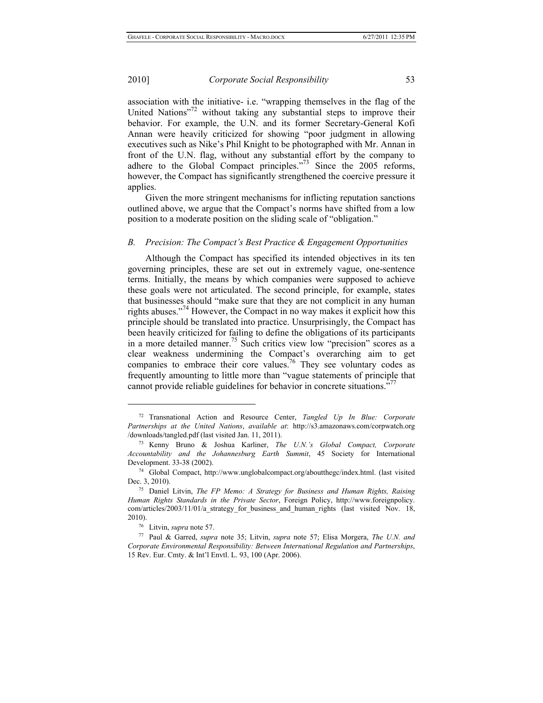association with the initiative- i.e. "wrapping themselves in the flag of the United Nations"<sup>72</sup> without taking any substantial steps to improve their behavior. For example, the U.N. and its former Secretary-General Kofi Annan were heavily criticized for showing "poor judgment in allowing executives such as Nike's Phil Knight to be photographed with Mr. Annan in front of the U.N. flag, without any substantial effort by the company to adhere to the Global Compact principles."<sup>73</sup> Since the 2005 reforms, however, the Compact has significantly strengthened the coercive pressure it applies.

Given the more stringent mechanisms for inflicting reputation sanctions outlined above, we argue that the Compact's norms have shifted from a low position to a moderate position on the sliding scale of "obligation."

#### *B. Precision: The Compact's Best Practice & Engagement Opportunities*

Although the Compact has specified its intended objectives in its ten governing principles, these are set out in extremely vague, one-sentence terms. Initially, the means by which companies were supposed to achieve these goals were not articulated. The second principle, for example, states that businesses should "make sure that they are not complicit in any human rights abuses."<sup>74</sup> However, the Compact in no way makes it explicit how this principle should be translated into practice. Unsurprisingly, the Compact has been heavily criticized for failing to define the obligations of its participants in a more detailed manner.<sup>75</sup> Such critics view low "precision" scores as a clear weakness undermining the Compact's overarching aim to get companies to embrace their core values.<sup>76</sup> They see voluntary codes as frequently amounting to little more than "vague statements of principle that cannot provide reliable guidelines for behavior in concrete situations."

<sup>72</sup> Transnational Action and Resource Center, *Tangled Up In Blue: Corporate Partnerships at the United Nations*, *available at*: http://s3.amazonaws.com/corpwatch.org /downloads/tangled.pdf (last visited Jan. 11, 2011). 73 Kenny Bruno & Joshua Karliner, *The U.N.'s Global Compact, Corporate* 

*Accountability and the Johannesburg Earth Summit*, 45 Society for International Development. 33-38 (2002). 74 Global Compact, http://www.unglobalcompact.org/aboutthegc/index.html. (last visited

Dec. 3, 2010). 75 Daniel Litvin, *The FP Memo: A Strategy for Business and Human Rights, Raising Human Rights Standards in the Private Sector*, Foreign Policy, http://www.foreignpolicy. com/articles/2003/11/01/a\_strategy\_for\_business\_and\_human\_rights (last\_visited Nov. 18, 2010). 76 Litvin, *supra* note 57. 77 Paul & Garred, *supra* note 35; Litvin, *supra* note 57; Elisa Morgera, *The U.N. and* 

*Corporate Environmental Responsibility: Between International Regulation and Partnerships*, 15 Rev. Eur. Cmty. & Int'l Envtl. L. 93, 100 (Apr. 2006).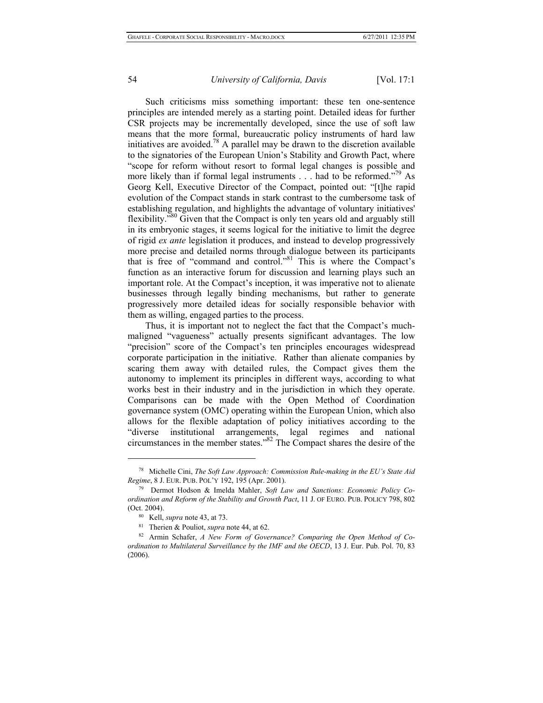Such criticisms miss something important: these ten one-sentence principles are intended merely as a starting point. Detailed ideas for further CSR projects may be incrementally developed, since the use of soft law means that the more formal, bureaucratic policy instruments of hard law initiatives are avoided.<sup>78</sup> A parallel may be drawn to the discretion available to the signatories of the European Union's Stability and Growth Pact, where "scope for reform without resort to formal legal changes is possible and more likely than if formal legal instruments  $\ldots$  had to be reformed."<sup>79</sup> As Georg Kell, Executive Director of the Compact, pointed out: "[t]he rapid evolution of the Compact stands in stark contrast to the cumbersome task of establishing regulation, and highlights the advantage of voluntary initiatives' flexibility."<sup>80</sup> Given that the Compact is only ten years old and arguably still in its embryonic stages, it seems logical for the initiative to limit the degree of rigid *ex ante* legislation it produces, and instead to develop progressively more precise and detailed norms through dialogue between its participants that is free of "command and control."<sup>81</sup> This is where the Compact's function as an interactive forum for discussion and learning plays such an important role. At the Compact's inception, it was imperative not to alienate businesses through legally binding mechanisms, but rather to generate progressively more detailed ideas for socially responsible behavior with them as willing, engaged parties to the process.

Thus, it is important not to neglect the fact that the Compact's muchmaligned "vagueness" actually presents significant advantages. The low "precision" score of the Compact's ten principles encourages widespread corporate participation in the initiative. Rather than alienate companies by scaring them away with detailed rules, the Compact gives them the autonomy to implement its principles in different ways, according to what works best in their industry and in the jurisdiction in which they operate. Comparisons can be made with the Open Method of Coordination governance system (OMC) operating within the European Union, which also allows for the flexible adaptation of policy initiatives according to the "diverse institutional arrangements, legal regimes and national circumstances in the member states."82 The Compact shares the desire of the

<sup>78</sup> Michelle Cini, *The Soft Law Approach: Commission Rule-making in the EU's State Aid Regime*, 8 J. EUR. PUB. POL'Y 192, 195 (Apr. 2001).<br><sup>79</sup> Dermot Hodson & Imelda Mahler, *Soft Law and Sanctions: Economic Policy Co-*

*ordination and Reform of the Stability and Growth Pact*, 11 J. OF EURO. PUB. POLICY 798, 802 (Oct. 2004). 80 Kell, *supra* note 43, at 73. 81 Therien & Pouliot, *supra* note 44, at 62. 82 Armin Schafer, *A New Form of Governance? Comparing the Open Method of Co-*

*ordination to Multilateral Surveillance by the IMF and the OECD*, 13 J. Eur. Pub. Pol. 70, 83 (2006).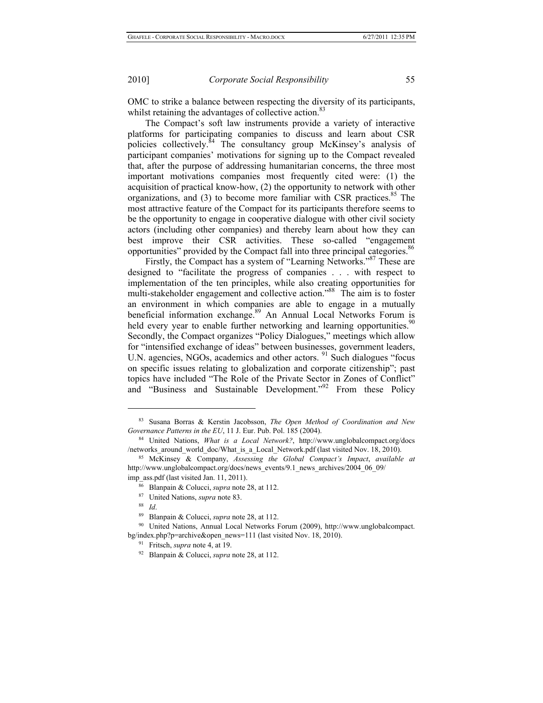OMC to strike a balance between respecting the diversity of its participants, whilst retaining the advantages of collective action.<sup>83</sup>

The Compact's soft law instruments provide a variety of interactive platforms for participating companies to discuss and learn about CSR policies collectively.<sup>84</sup> The consultancy group McKinsey's analysis of participant companies' motivations for signing up to the Compact revealed that, after the purpose of addressing humanitarian concerns, the three most important motivations companies most frequently cited were: (1) the acquisition of practical know-how, (2) the opportunity to network with other organizations, and  $(3)$  to become more familiar with CSR practices.<sup>85</sup> The most attractive feature of the Compact for its participants therefore seems to be the opportunity to engage in cooperative dialogue with other civil society actors (including other companies) and thereby learn about how they can best improve their CSR activities. These so-called "engagement opportunities" provided by the Compact fall into three principal categories.<sup>86</sup>

Firstly, the Compact has a system of "Learning Networks."<sup>87</sup> These are designed to "facilitate the progress of companies . . . with respect to implementation of the ten principles, while also creating opportunities for multi-stakeholder engagement and collective action."<sup>88</sup> The aim is to foster an environment in which companies are able to engage in a mutually beneficial information exchange.<sup>89</sup> An Annual Local Networks Forum is held every year to enable further networking and learning opportunities.<sup>90</sup> Secondly, the Compact organizes "Policy Dialogues," meetings which allow for "intensified exchange of ideas" between businesses, government leaders, U.N. agencies, NGOs, academics and other actors. <sup>91</sup> Such dialogues "focus" on specific issues relating to globalization and corporate citizenship"; past topics have included "The Role of the Private Sector in Zones of Conflict" and "Business and Sustainable Development."<sup>92</sup> From these Policy

<sup>83</sup> Susana Borras & Kerstin Jacobsson, *The Open Method of Coordination and New Governance Patterns in the EU*, 11 J. Eur. Pub. Pol. 185 (2004).<br><sup>84</sup> United Nations, *What is a Local Network?*, http://www.unglobalcompact.org/docs

<sup>/</sup>networks\_around\_world\_doc/What\_is\_a\_Local\_Network.pdf (last visited Nov. 18, 2010). 85 McKinsey & Company, *Assessing the Global Compact's Impact*, *available at*

http://www.unglobalcompact.org/docs/news\_events/9.1\_news\_archives/2004\_06\_09/

imp\_ass.pdf (last visited Jan. 11, 2011).<br>
<sup>86</sup> Blanpain & Colucci, *supra* note 28, at 112.<br>
<sup>87</sup> United Nations, *supra* note 83.<br>
<sup>89</sup> Blanpain & Colucci, *supra* note 28, at 112.<br>
<sup>90</sup> United Nations, Annual Local Netw bg/index.php?p=archive&open\_news=111 (last visited Nov. 18, 2010). 91 Fritsch, *supra* note 4, at 19. 92 Blanpain & Colucci, *supra* note 28, at 112.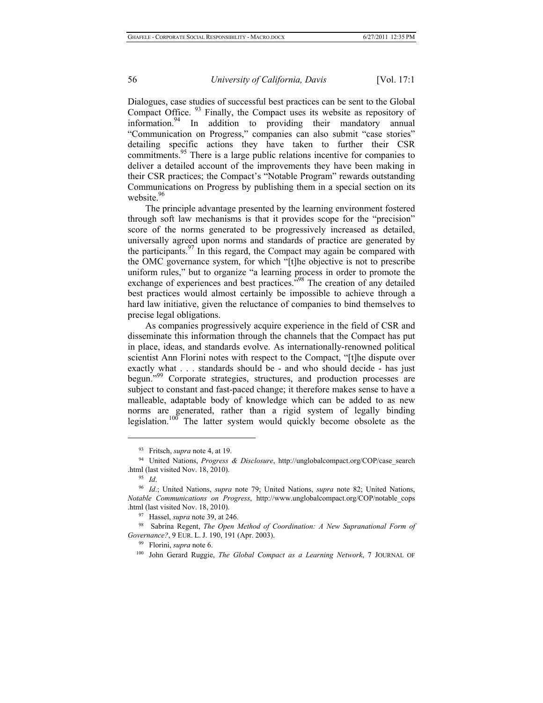Dialogues, case studies of successful best practices can be sent to the Global Compact Office. 93 Finally, the Compact uses its website as repository of information.94 In addition to providing their mandatory annual "Communication on Progress," companies can also submit "case stories" detailing specific actions they have taken to further their CSR commitments.<sup>95</sup> There is a large public relations incentive for companies to deliver a detailed account of the improvements they have been making in their CSR practices; the Compact's "Notable Program" rewards outstanding Communications on Progress by publishing them in a special section on its website.<sup>96</sup>

The principle advantage presented by the learning environment fostered through soft law mechanisms is that it provides scope for the "precision" score of the norms generated to be progressively increased as detailed, universally agreed upon norms and standards of practice are generated by the participants. $9'$  In this regard, the Compact may again be compared with the OMC governance system, for which "[t]he objective is not to prescribe uniform rules," but to organize "a learning process in order to promote the exchange of experiences and best practices."<sup>98</sup> The creation of any detailed best practices would almost certainly be impossible to achieve through a hard law initiative, given the reluctance of companies to bind themselves to precise legal obligations.

As companies progressively acquire experience in the field of CSR and disseminate this information through the channels that the Compact has put in place, ideas, and standards evolve. As internationally-renowned political scientist Ann Florini notes with respect to the Compact, "[t]he dispute over exactly what . . . standards should be - and who should decide - has just begun."<sup>99</sup> Corporate strategies, structures, and production processes are subject to constant and fast-paced change; it therefore makes sense to have a malleable, adaptable body of knowledge which can be added to as new norms are generated, rather than a rigid system of legally binding legislation.100 The latter system would quickly become obsolete as the

<sup>93</sup> Fritsch, *supra* note 4, at 19. 94 United Nations, *Progress & Disclosure*, http://unglobalcompact.org/COP/case\_search .html (last visited Nov. 18, 2010). 95 *Id*. 96 *Id*.; United Nations, *supra* note 79; United Nations, *supra* note 82; United Nations,

*Notable Communications on Progress*, http://www.unglobalcompact.org/COP/notable\_cops

<sup>&</sup>lt;sup>97</sup> Hassel, *supra* note 39, at 246. *98* Sabrina Regent, *The Open Method of Coordination: A New Supranational Form of <sup>98</sup> Sabrina Regent, <i>The Open Method of Coordination: A New Supranational Form of Governance?*, 9 EUR. L. J. 190, 191 (Apr. 2003).<br><sup>99</sup> Florini, *supra* note 6.<br><sup>100</sup> John Gerard Ruggie, *The Global Compact as a Learning Network*, 7 JOURNAL OF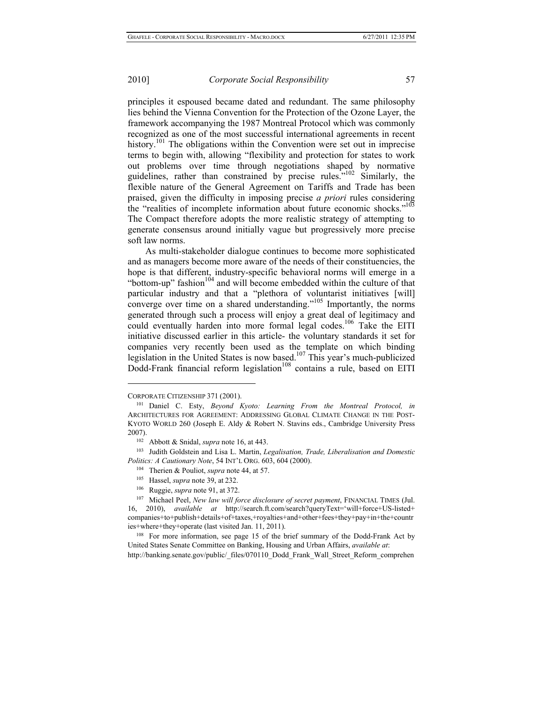principles it espoused became dated and redundant. The same philosophy lies behind the Vienna Convention for the Protection of the Ozone Layer, the framework accompanying the 1987 Montreal Protocol which was commonly recognized as one of the most successful international agreements in recent history.<sup>101</sup> The obligations within the Convention were set out in imprecise terms to begin with, allowing "flexibility and protection for states to work out problems over time through negotiations shaped by normative guidelines, rather than constrained by precise rules."102 Similarly, the flexible nature of the General Agreement on Tariffs and Trade has been praised, given the difficulty in imposing precise *a priori* rules considering the "realities of incomplete information about future economic shocks."<sup>103</sup> The Compact therefore adopts the more realistic strategy of attempting to generate consensus around initially vague but progressively more precise soft law norms.

As multi-stakeholder dialogue continues to become more sophisticated and as managers become more aware of the needs of their constituencies, the hope is that different, industry-specific behavioral norms will emerge in a "bottom-up" fashion<sup>104</sup> and will become embedded within the culture of that particular industry and that a "plethora of voluntarist initiatives [will] converge over time on a shared understanding."<sup>105</sup> Importantly, the norms generated through such a process will enjoy a great deal of legitimacy and could eventually harden into more formal legal codes.<sup>106</sup> Take the EITI initiative discussed earlier in this article- the voluntary standards it set for companies very recently been used as the template on which binding legislation in the United States is now based.<sup>107</sup> This year's much-publicized Dodd-Frank financial reform legislation<sup>108</sup> contains a rule, based on EITI

 $\overline{\phantom{a}}$ 

- 
- 
- 

http://banking.senate.gov/public/\_files/070110\_Dodd\_Frank\_Wall\_Street\_Reform\_comprehen

CORPORATE CITIZENSHIP 371 (2001). 101 Daniel C. Esty, *Beyond Kyoto: Learning From the Montreal Protocol, in* ARCHITECTURES FOR AGREEMENT: ADDRESSING GLOBAL CLIMATE CHANGE IN THE POST-KYOTO WORLD 260 (Joseph E. Aldy & Robert N. Stavins eds., Cambridge University Press 2007). 102 Abbott & Snidal, *supra* note 16, at 443. 103 Judith Goldstein and Lisa L. Martin, *Legalisation, Trade, Liberalisation and Domestic* 

*Politics: A Cautionary Note*, 54 INT'L ORG. 603, 604 (2000).<br><sup>104</sup> Therien & Pouliot, *supra* note 44, at 57.<br><sup>105</sup> Hassel, *supra* note 39, at 232.<br><sup>106</sup> Ruggie, *supra* note 91, at 372.<br><sup>107</sup> Michael Peel, *New law wil* 16, 2010), *available at* http://search.ft.com/search?queryText='will+force+US-listed+ companies+to+publish+details+of+taxes,+royalties+and+other+fees+they+pay+in+the+countr ies+where+they+operate (last visited Jan. 11, 2011).<br><sup>108</sup> For more information, see page 15 of the brief summary of the Dodd-Frank Act by

United States Senate Committee on Banking, Housing and Urban Affairs, *available at*: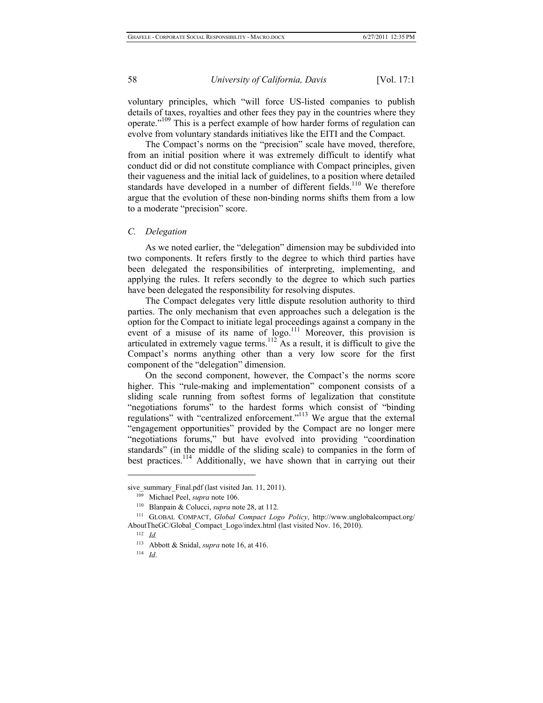voluntary principles, which "will force US-listed companies to publish details of taxes, royalties and other fees they pay in the countries where they operate."109 This is a perfect example of how harder forms of regulation can evolve from voluntary standards initiatives like the EITI and the Compact.

The Compact's norms on the "precision" scale have moved, therefore, from an initial position where it was extremely difficult to identify what conduct did or did not constitute compliance with Compact principles, given their vagueness and the initial lack of guidelines, to a position where detailed standards have developed in a number of different fields.<sup>110</sup> We therefore argue that the evolution of these non-binding norms shifts them from a low to a moderate "precision" score.

#### *C. Delegation*

As we noted earlier, the "delegation" dimension may be subdivided into two components. It refers firstly to the degree to which third parties have been delegated the responsibilities of interpreting, implementing, and applying the rules. It refers secondly to the degree to which such parties have been delegated the responsibility for resolving disputes.

The Compact delegates very little dispute resolution authority to third parties. The only mechanism that even approaches such a delegation is the option for the Compact to initiate legal proceedings against a company in the event of a misuse of its name of logo.<sup>111</sup> Moreover, this provision is articulated in extremely vague terms.<sup>112</sup> As a result, it is difficult to give the Compact's norms anything other than a very low score for the first component of the "delegation" dimension.

On the second component, however, the Compact's the norms score higher. This "rule-making and implementation" component consists of a sliding scale running from softest forms of legalization that constitute "negotiations forums" to the hardest forms which consist of "binding regulations" with "centralized enforcement."113 We argue that the external "engagement opportunities" provided by the Compact are no longer mere "negotiations forums," but have evolved into providing "coordination standards" (in the middle of the sliding scale) to companies in the form of best practices.<sup>114</sup> Additionally, we have shown that in carrying out their

sive\_summary\_Final.pdf (last visited Jan. 11, 2011).<br><sup>109</sup> Michael Peel, *supra* note 106.<br><sup>110</sup> Blanpain & Colucci, *supra* note 28, at 112.<br><sup>111</sup> GLOBAL COMPACT, *Global Compact Logo Policy*, http://www.unglobalcompact.o AboutTheGC/Global\_Compact\_Logo/index.html (last visited Nov. 16, 2010). 112 *Id.* 113 Abbott & Snidal, *supra* note 16, at 416. 114 *Id*.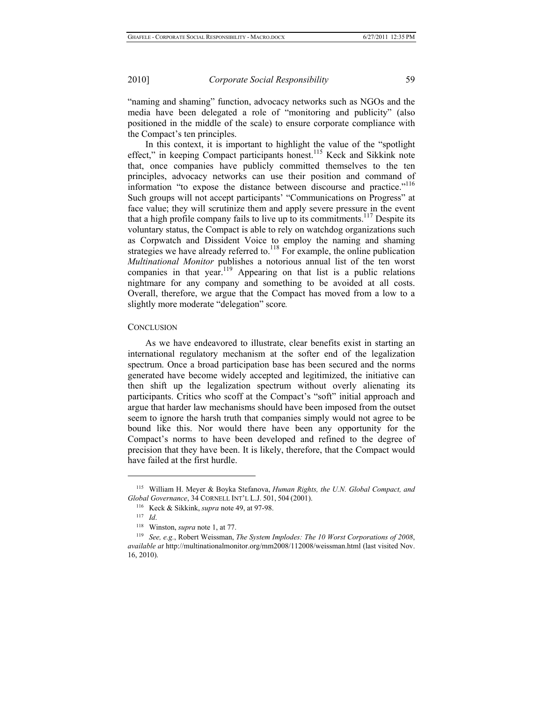"naming and shaming" function, advocacy networks such as NGOs and the media have been delegated a role of "monitoring and publicity" (also positioned in the middle of the scale) to ensure corporate compliance with the Compact's ten principles.

In this context, it is important to highlight the value of the "spotlight effect," in keeping Compact participants honest.115 Keck and Sikkink note that, once companies have publicly committed themselves to the ten principles, advocacy networks can use their position and command of information "to expose the distance between discourse and practice."<sup>116</sup> Such groups will not accept participants' "Communications on Progress" at face value; they will scrutinize them and apply severe pressure in the event that a high profile company fails to live up to its commitments.<sup>117</sup> Despite its voluntary status, the Compact is able to rely on watchdog organizations such as Corpwatch and Dissident Voice to employ the naming and shaming strategies we have already referred to.<sup>118</sup> For example, the online publication *Multinational Monitor* publishes a notorious annual list of the ten worst companies in that year.<sup>119</sup> Appearing on that list is a public relations nightmare for any company and something to be avoided at all costs. Overall, therefore, we argue that the Compact has moved from a low to a slightly more moderate "delegation" score*.*

#### **CONCLUSION**

As we have endeavored to illustrate, clear benefits exist in starting an international regulatory mechanism at the softer end of the legalization spectrum. Once a broad participation base has been secured and the norms generated have become widely accepted and legitimized, the initiative can then shift up the legalization spectrum without overly alienating its participants. Critics who scoff at the Compact's "soft" initial approach and argue that harder law mechanisms should have been imposed from the outset seem to ignore the harsh truth that companies simply would not agree to be bound like this. Nor would there have been any opportunity for the Compact's norms to have been developed and refined to the degree of precision that they have been. It is likely, therefore, that the Compact would have failed at the first hurdle.

<sup>115</sup> William H. Meyer & Boyka Stefanova, *Human Rights, the U.N. Global Compact, and*  Global Governance, 34 CORNELL INT'L L.J. 501, 504 (2001).<br><sup>116</sup> Keck & Sikkink, *supra* note 49, at 97-98.<br><sup>117</sup> Id.<br><sup>118</sup> Winston, *supra* note 1, at 77.<br><sup>118</sup> See, e.g., Robert Weissman, *The System Implodes: The 10 Wor* 

*available at* http://multinationalmonitor.org/mm2008/112008/weissman.html (last visited Nov. 16, 2010).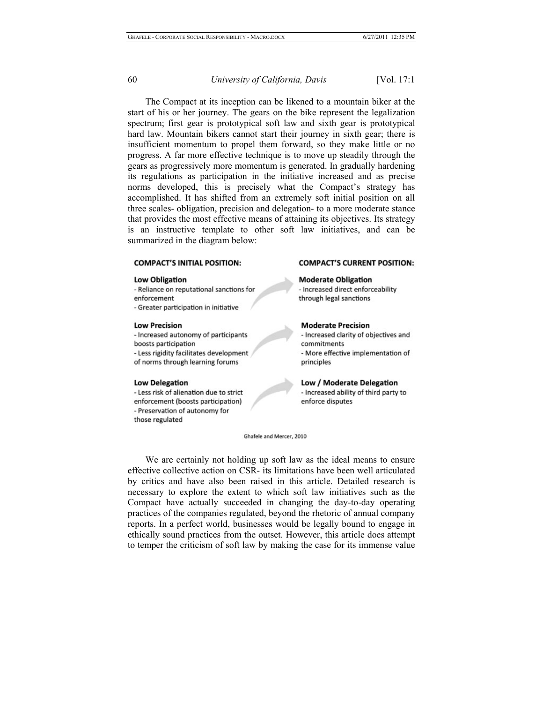The Compact at its inception can be likened to a mountain biker at the start of his or her journey. The gears on the bike represent the legalization spectrum; first gear is prototypical soft law and sixth gear is prototypical hard law. Mountain bikers cannot start their journey in sixth gear; there is insufficient momentum to propel them forward, so they make little or no progress. A far more effective technique is to move up steadily through the gears as progressively more momentum is generated. In gradually hardening its regulations as participation in the initiative increased and as precise norms developed, this is precisely what the Compact's strategy has accomplished. It has shifted from an extremely soft initial position on all three scales- obligation, precision and delegation- to a more moderate stance that provides the most effective means of attaining its objectives. Its strategy is an instructive template to other soft law initiatives, and can be summarized in the diagram below:

## **COMPACT'S INITIAL POSITION:**

#### **Low Obligation**

- Reliance on reputational sanctions for enforcement

- Greater participation in initiative

#### **Low Precision**

- Increased autonomy of participants boosts participation - Less rigidity facilitates development of norms through learning forums

#### **Low Delegation**

- Less risk of alienation due to strict enforcement (boosts participation) - Preservation of autonomy for those regulated

#### **COMPACT'S CURRENT POSITION:**

**Moderate Obligation** - Increased direct enforceability through legal sanctions

#### **Moderate Precision**

- Increased clarity of objectives and commitments - More effective implementation of principles

Low / Moderate Delegation - Increased ability of third party to enforce disputes

Ghafele and Mercer, 2010

We are certainly not holding up soft law as the ideal means to ensure effective collective action on CSR- its limitations have been well articulated by critics and have also been raised in this article. Detailed research is necessary to explore the extent to which soft law initiatives such as the Compact have actually succeeded in changing the day-to-day operating practices of the companies regulated, beyond the rhetoric of annual company reports. In a perfect world, businesses would be legally bound to engage in ethically sound practices from the outset. However, this article does attempt to temper the criticism of soft law by making the case for its immense value